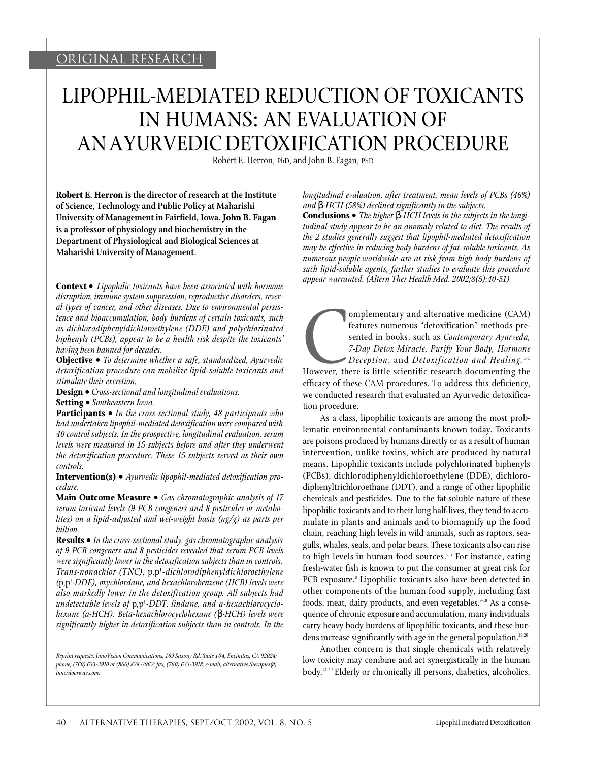# ORIGINAL RESEARCH

# LIPOPHIL-MEDIATED REDUCTION OF TOXICANTS IN HUMANS: AN EVALUATION OF AN AYURVEDIC DETOXIFICATION PROCEDURE

Robert E. Herron, PhD, and John B. Fagan, PhD

**Robert E. Herron is the director of research at the Institute of Science, Technology and Public Policy at Maharishi University of Management in Fairfield, Iowa. John B. Fagan is a professor of physiology and biochemistry in the Department of Physiological and Biological Sciences at Maharishi University of Management.**

**Context •** *Lipophilic toxicants have been associated with hormone disruption, immune system suppression, reproductive disorders, several types of cancer, and other diseases. Due to environmental persistence and bioaccumulation, body burdens of certain toxicants, such* as dichlorodiphenyldichloroethylene (DDE) and polychlorinated *biphenyls (PCBs), appear to be a health risk despite the toxicants' having been banned for decades.*

**Objective •** *To determine whether a safe, standardized, Ayurvedic* detoxification procedure can mobilize lipid-soluble toxicants and *stimulate their excretion.*

**Design •** *Cross-sectional and longitudinal evaluations.*

**Setting •** *Southeastern Iowa.*

**Participants •** *In the cross-sectional study, 48 participants who had undertaken lipophil-mediated detoxification were compared with 40 control subjects. In the prospective, longitudinal evaluation, serum levels were measured in 15 subjects before and after they underwent the detoxification procedure. These 15 subjects served as their own controls.*

**Intervention(s) •** *Ayurvedic lipophil-mediated detoxification procedure.*

**Main Outcome Measure •** Gas chromatographic analysis of 17 *serum toxicant levels (9 PCB congeners and 8 pesticides or metabolites) on a lipid-adjusted and wet-weight basis (ng/g) as parts per billion.*

**Results •** *In the cross-sectional study, gas chromatographic analysis of 9 PCB congeners and 8 pesticides revealed that serum PCB levels were significantly lower in the detoxification subjects than in controls. Trans-nonachlor (TNC), p,p'-dichlorodiphenyldichloroethylene (*p,p'*-DDE), oxychlordane, and hexachlorobenzene (HCB) levels were also markedly lower in the detoxification group. All subjects had undetectable levels of p,p'-DDT, lindane, and a-hexachlorocyclohexane (a-HCH). Beta-hexachlorocyclohexane ( -HCH) levels were significantly higher in detoxification subjects than in controls. In the*

*longitudinal evaluation, after treatment, mean levels of PCBs (46%) and -HCH (58%) declined significantly in the subjects.*

**Conclusions •** *The higher -HCH levels in the subjects in the longitudinal study appear to be an anomaly related to diet. The results of the 2 studies generally suggest that lipophil-mediated detoxification may be effective in reducing body burdens of fat-soluble toxicants. As n u m e rous people worldwide are at risk from high body burdens of such lipid-soluble agents, further studies to evaluate this procedure appear warranted. (Altern Ther Health Med. 2002;8(5):40-51)*

However, the omplementary and alternative medicine (CAM) features numerous "detoxification" methods presented in books, such as *Contemporary Ayurveda*, *7-Day Detox Miracle, Purify Your Body, Hormone D e c e p t i o n*, and *D e t oxi fication and He a l i n g .* 1- 5

However, there is little scientific research documenting the efficacy of these CAM procedures. To address this deficiency, we conducted research that evaluated an Ayurvedic detoxification procedure.

As a class, lipophilic toxicants are among the most problematic environmental contaminants known today. Toxicants are poisons produced by humans directly or as a result of human intervention, unlike toxins, which are produced by natural means. Lipophilic toxicants include polychlorinated biphenyls (PCBs), dichlorodiphenyldichloroethylene (DDE), dichlorodiphenyltrichloroethane (DDT), and a range of other lipophilic chemicals and pesticides. Due to the fat-soluble nature of these lipophilic toxicants and to their long half-lives, they tend to accumulate in plants and animals and to biomagnify up the food chain, reaching high levels in wild animals, such as raptors, seagulls, whales, seals, and polar bears. These toxicants also can rise to high levels in human food sources.<sup>6,7</sup> For instance, eating fresh-water fish is known to put the consumer at great risk for PCB exposure.<sup>8</sup> Lipophilic toxicants also have been detected in other components of the human food supply, including fast foods, meat, dairy products, and even vegetables.<sup>9-18</sup> As a consequence of chronic exposure and accumulation, many individuals carry heavy body burdens of lipophilic toxicants, and these burdens increase significantly with age in the general population.<sup>19,20</sup>

Another concern is that single chemicals with relatively low toxicity may combine and act synergistically in the human body.<sup>21-23</sup> Elderly or chronically ill persons, diabetics, alcoholics,

*Reprint requests: InnoVision Communications, 169 Saxony Rd, Suite 104, Encinitas, CA 92024; phone, (760) 633-3910 or (866) 828-2962; fax, (760) 633-3918; e-mail, alternative.therapies@ innerdoorway.com.*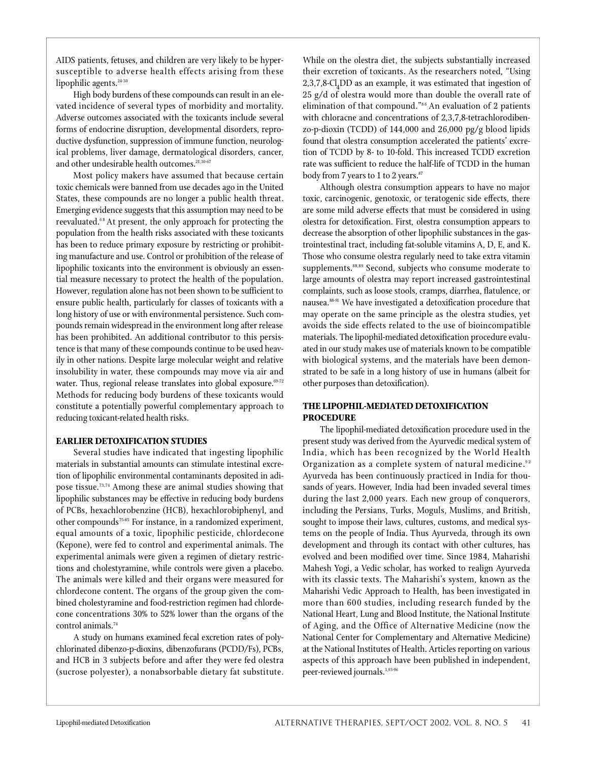AIDS patients, fetuses, and children are very likely to be hypersusceptible to adverse health effects arising from these lipophilic agents. $24-30$ 

High body burdens of these compounds can result in an elevated incidence of several types of morbidity and mortality. Adverse outcomes associated with the toxicants include several forms of endocrine disruption, developmental disorders, reproductive dysfunction, suppression of immune function, neurological problems, liver damage, dermatological disorders, cancer, and other undesirable health outcomes.<sup>21,30-67</sup>

Most policy makers have assumed that because certain toxic chemicals were banned from use decades ago in the United States, these compounds are no longer a public health threat. Emerging evidence suggests that this assumption may need to be reevaluated.<sup>68</sup> At present, the only approach for protecting the population from the health risks associated with these toxicants has been to reduce primary exposure by restricting or prohibiting manufacture and use. Control or prohibition of the release of lipophilic toxicants into the environment is obviously an essential measure necessary to protect the health of the population. However, regulation alone has not been shown to be sufficient to ensure public health, particularly for classes of toxicants with a long history of use or with environmental persistence. Such compounds remain widespread in the environment long after release has been prohibited. An additional contributor to this persistence is that many of these compounds continue to be used heavily in other nations. Despite large molecular weight and relative insolubility in water, these compounds may move via air and water. Thus, regional release translates into global exposure.<sup>69-72</sup> Methods for reducing body burdens of these toxicants would constitute a potentially powerful complementary approach to reducing toxicant-related health risks.

# **EARLIER DETOXIFICATION STUDIES**

Several studies have indicated that ingesting lipophilic materials in substantial amounts can stimulate intestinal excretion of lipophilic environmental contaminants deposited in adipose tissue.<sup>73,74</sup> Among these are animal studies showing that lipophilic substances may be effective in reducing body burdens of PCBs, hexachlorobenzine (HCB), hexachlorobiphenyl, and other compounds75-85 For instance, in a randomized experiment, equal amounts of a toxic, lipophilic pesticide, chlordecone ( Kepone), were fed to control and experimental animals. The experimental animals were given a regimen of dietary restrictions and cholestyramine, while controls were given a placebo. The animals were killed and their organs were measured for chlordecone content. The organs of the group given the combined cholestyramine and food-restriction regimen had chlordecone concentrations 30% to 52% lower than the organs of the control animals.<sup>74</sup>

A study on humans examined fecal excretion rates of polychlorinated dibenzo-p-dioxins, dibenzofurans (PCDD/Fs), PCBs, and HCB in 3 subjects before and after they were fed olestra (sucrose polyester), a nonabsorbable dietary fat substitute. While on the olestra diet, the subjects substantially increased their excretion of toxicants. As the researchers noted, "Using 2,3,7,8-Cl<sub>4</sub>DD as an example, it was estimated that ingestion of 25 g/d of olestra would more than double the overall rate of elimination of that compound."<sup>86</sup> An evaluation of 2 patients with chloracne and concentrations of  $2,3,7,8$ -tetrachlorodibenzo-p-dioxin (TCDD) of  $144,000$  and  $26,000$  pg/g blood lipids found that olestra consumption accelerated the patients' excretion of TCDD by 8- to 10-fold. This increased TCDD excretion rate was sufficient to reduce the half-life of TCDD in the human body from 7 years to 1 to 2 years. $87$ 

Although olestra consumption appears to have no major toxic, carcinogenic, genotoxic, or teratogenic side effects, there are some mild adverse effects that must be considered in using olestra for detoxification. First, olestra consumption appears to decrease the absorption of other lipophilic substances in the gastrointestinal tract, including fat-soluble vitamins A, D, E, and K. Those who consume olestra regularly need to take extra vitamin supplements.<sup>88,89</sup> Second, subjects who consume moderate to large amounts of olestra may report increased gastrointestinal complaints, such as loose stools, cramps, diarrhea, flatulence, or nausea.88-91 We have investigated a detoxification procedure that may operate on the same principle as the olestra studies, yet avoids the side effects related to the use of bioincompatible materials. The lipophil-mediated detoxification procedure evaluated in our study makes use of materials known to be compatible with biological systems, and the materials have been demonstrated to be safe in a long history of use in humans (albeit for other purposes than detoxification).

# **THE LIPOPHIL-MEDIATED DETOXIFICATION PROCEDURE**

The lipophil-mediated detoxification procedure used in the present study was derived from the Ayurvedic medical system of India, which has been recognized by the World Health Organization as a complete system of natural medicine.<sup>92</sup> Ayurveda has been continuously practiced in India for thousands of years. However, India had been invaded several times during the last 2,000 years. Each new group of conquerors, including the Persians, Turks, Moguls, Muslims, and British, sought to impose their laws, cultures, customs, and medical systems on the people of India. Thus Ayurveda, through its own development and through its contact with other cultures, has evolved and been modified over time. Since 1984, Maharishi Mahesh Yogi, a Vedic scholar, has worked to realign Ayurveda with its classic texts. The Maharishi's system, known as the Maharishi Vedic Approach to Health, has been investigated in more than 600 studies, including research funded by the National Heart, Lung and Blood Institute, the National Institute of Aging, and the Office of Alternative Medicine (now the National Center for Complementary and Alternative Medicine) at the National Institutes of Health. Articles reporting on various aspects of this approach have been published in independent, peer-reviewed journals.<sup>1,93-96</sup>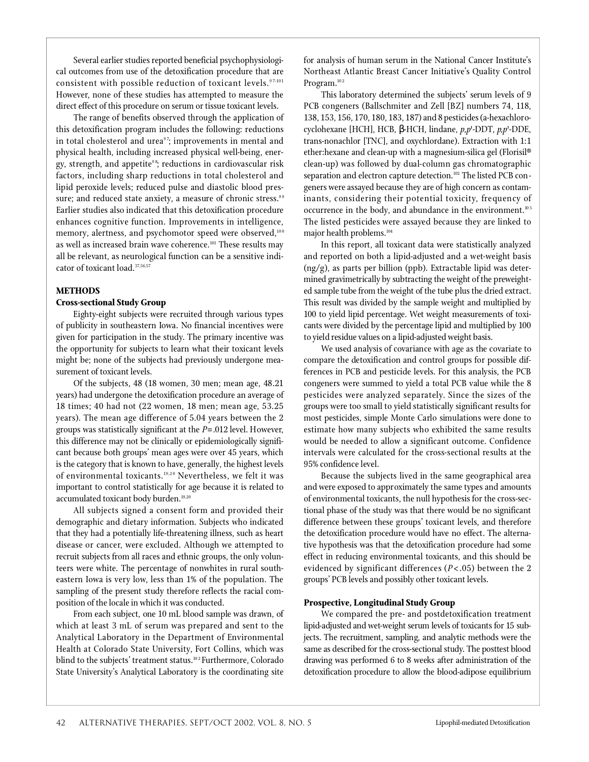Several earlier studies reported beneficial psychophysiological outcomes from use of the detoxification procedure that are consistent with possible reduction of toxicant levels. 97-101 However, none of these studies has attempted to measure the direct effect of this procedure on serum or tissue toxicant levels.

The range of benefits observed through the application of this detoxification program includes the following: reductions in total cholesterol and urea<sup>97</sup>; improvements in mental and physical health, including increased physical well-being, energy, strength, and appetite<sup>98</sup>; reductions in cardiovascular risk factors, including sharp reductions in total cholesterol and lipid peroxide levels; reduced pulse and diastolic blood pressure; and reduced state anxiety, a measure of chronic stress.<sup>99</sup> Earlier studies also indicated that this detoxification procedure enhances cognitive function. Improvements in intelligence, memory, alertness, and psychomotor speed were observed,<sup>100</sup> as well as increased brain wave coherence.<sup>101</sup> These results may all be relevant, as neurological function can be a sensitive indicator of toxicant load.<sup>37,56,57</sup>

# **METHODS**

# **Cross-sectional Study Group**

Eighty-eight subjects were recruited through various types of publicity in southeastern Iowa. No financial incentives were given for participation in the study. The primary incentive was the opportunity for subjects to learn what their toxicant levels might be; none of the subjects had previously undergone measurement of toxicant levels.

Of the subjects, 48 (18 women, 30 men; mean age, 48.21 years) had undergone the detoxification procedure an average of 18 times; 40 had not (22 women, 18 men; mean age, 53.25 years). The mean age difference of 5.04 years between the 2 groups was statistically significant at the *P*=.012 level. However, this difference may not be clinically or epidemiologically significant because both groups' mean ages were over 45 years, which is the category that is known to have, generally, the highest levels of environmental toxicants.<sup>19,20</sup> Nevertheless, we felt it was important to control statistically for age because it is related to accumulated toxicant body burden.<sup>19,20</sup>

All subjects signed a consent form and provided their demographic and dietary information. Subjects who indicated that they had a potentially life-threatening illness, such as heart disease or cancer, were excluded. Although we attempted to recruit subjects from all races and ethnic groups, the only volunteers were white. The percentage of nonwhites in rural southeastern Iowa is very low, less than 1% of the population. The sampling of the present study therefore reflects the racial composition of the locale in which it was conducted.

From each subject, one 10 mL blood sample was drawn, of which at least 3 mL of serum was prepared and sent to the Analytical Laboratory in the Department of Environmental Health at Colorado State University, Fort Collins, which was blind to the subjects' treatment status.<sup>102</sup> Furthermore, Colorado State University's Analytical Laboratory is the coordinating site

for analysis of human serum in the National Cancer Institute's Northeast Atlantic Breast Cancer Initiative's Quality Control Program. $102$ 

This laboratory determined the subjects' serum levels of 9 PCB congeners (Ballschmiter and Zell [BZ] numbers 74, 118, 138, 153, 156, 170, 180, 183, 187) and 8 pesticides (a-hexachlorocyclohexane [HCH], HCB, -HCH, lindane, *p,p*'-DDT, *p,p*'-DDE, trans-nonachlor [TNC], and oxychlordane). Extraction with 1:1 ether:hexane and clean-up with a magnesium-silica gel (Florisil® clean-up) was followed by dual-column gas chromatographic separation and electron capture detection.<sup>102</sup> The listed PCB congeners were assayed because they are of high concern as contaminants, considering their potential toxicity, frequency of occurrence in the body, and abundance in the environment.<sup>103</sup> The listed pesticides were assayed because they are linked to major health problems.<sup>104</sup>

In this report, all toxicant data were statistically analyzed and reported on both a lipid-adjusted and a wet-weight basis  $($ ng $/$ g $)$ , as parts per billion (ppb). Extractable lipid was determined gravimetrically by subtracting the weight of the preweighted sample tube from the weight of the tube plus the dried extract. This result was divided by the sample weight and multiplied by 100 to yield lipid percentage. Wet weight measurements of toxicants were divided by the percentage lipid and multiplied by 100 to yield residue values on a lipid-adjusted weight basis.

We used analysis of covariance with age as the covariate to compare the detoxification and control groups for possible differences in PCB and pesticide levels. For this analysis, the PCB congeners were summed to yield a total PCB value while the 8 pesticides were analyzed separately. Since the sizes of the g roups were too small to yield statistically significant results for most pesticides, simple Monte Carlo simulations were done to estimate how many subjects who exhibited the same results would be needed to allow a significant outcome. Confidence intervals were calculated for the cross-sectional results at the 95% confidence level.

Because the subjects lived in the same geographical area and were exposed to approximately the same types and amounts of environmental toxicants, the null hypothesis for the cross-sectional phase of the study was that there would be no significant difference between these groups' toxicant levels, and therefore the detoxification procedure would have no effect. The alternative hypothesis was that the detoxification procedure had some effect in reducing environmental toxicants, and this should be evidenced by significant differences (*P*< .05) between the 2 groups' PCB levels and possibly other toxicant levels.

# **Prospective, Longitudinal Study Group**

We compared the pre- and postdetoxification treatment lipid-adjusted and wet-weight serum levels of toxicants for 15 subjects. The recruitment, sampling, and analytic methods were the same as described for the cross-sectional study. The posttest blood drawing was performed 6 to 8 weeks after administration of the detoxification procedure to allow the blood-adipose equilibrium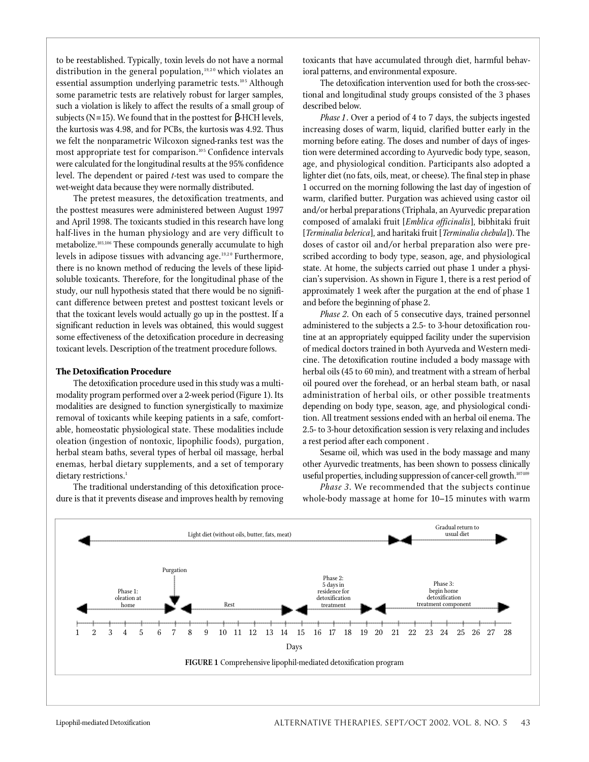to be reestablished. Typically, toxin levels do not have a normal distribution in the general population,  $19,20$  which violates an essential assumption underlying parametric tests.<sup>105</sup> Although some parametric tests are relatively robust for larger samples, such a violation is likely to affect the results of a small group of subjects (N=15). We found that in the posttest for -HCH levels, the kurtosis was 4.98, and for PCBs, the kurtosis was 4.92. Thus we felt the nonparametric Wilcoxon signed-ranks test was the most appropriate test for comparison.<sup>105</sup> Confidence intervals were calculated for the longitudinal results at the 95% confidence level. The dependent or paired *t*-test was used to compare the wet-weight data because they were normally distributed.

The pretest measures, the detoxification treatments, and the posttest measures were administered between August 1997 and April 1998. The toxicants studied in this research have long half-lives in the human physiology and are very difficult to metabolize.103,106 These compounds generally accumulate to high levels in adipose tissues with advancing age. $19,20$  Furthermore, there is no known method of reducing the levels of these lipidsoluble toxicants. Therefore, for the longitudinal phase of the study, our null hypothesis stated that there would be no significant difference between pretest and posttest toxicant levels or that the toxicant levels would actually go up in the posttest. If a significant reduction in levels was obtained, this would suggest some effectiveness of the detoxification procedure in decreasing toxicant levels. Description of the treatment procedure follows.

# **The Detoxification Procedure**

The detoxification procedure used in this study was a multimodality program performed over a 2-week period (Figure 1). Its modalities are designed to function synergistically to maximize removal of toxicants while keeping patients in a safe, comfortable, homeostatic physiological state. These modalities include o leation (ingestion of nontoxic, lipophilic foods), purgation, herbal steam baths, several types of herbal oil massage, herbal enemas, herbal dietary supplements, and a set of temporary dietary restrictions.<sup>1</sup>

The traditional understanding of this detoxification procedure is that it prevents disease and improves health by removing toxicants that have accumulated through diet, harmful behavioral patterns, and environmental exposure.

The detoxification intervention used for both the cross-sectional and longitudinal study groups consisted of the 3 phases described below.

*Phase 1*. Over a period of 4 to 7 days, the subjects ingested increasing doses of warm, liquid, clarified butter early in the morning before eating. The doses and number of days of ingestion were determined according to Ayurvedic body type, season, age, and physiological condition. Participants also adopted a lighter diet (no fats, oils, meat, or cheese). The final step in phase 1 occurred on the morning following the last day of ingestion of warm, clarified butter. Purgation was achieved using castor oil and/or herbal preparations (Triphala, an Ayurvedic preparation composed of amalaki fruit [*Emblica officinalis*], bibhitaki fruit [*Terminalia belerica*], and haritaki fruit [*Terminalia chebula*]). The doses of castor oil and/or herbal preparation also were prescribed according to body type, season, age, and physiological state. At home, the subjects carried out phase 1 under a physician's supervision. As shown in Figure 1, there is a rest period of approximately 1 week after the purgation at the end of phase 1 and before the beginning of phase 2.

*Phase 2*. On each of 5 consecutive days, trained personnel administered to the subjects a 2.5- to 3-hour detoxification routine at an appropriately equipped facility under the supervision of medical doctors trained in both Ayurveda and Western medicine. The detoxification routine included a body massage with herbal oils (45 to 60 min), and treatment with a stream of herbal oil poured over the forehead, or an herbal steam bath, or nasal administration of herbal oils, or other possible treatments depending on body type, season, age, and physiological condition. All treatment sessions ended with an herbal oil enema. The 2.5- to 3-hour detoxification session is very relaxing and includes a rest period after each component .

Sesame oil, which was used in the body massage and many other Ayurvedic treatments, has been shown to possess clinically useful properties, including suppression of cancer-cell growth.<sup>107-109</sup>

*Phase 3*. We recommended that the subjects continue whole-body massage at home for 10-15 minutes with warm

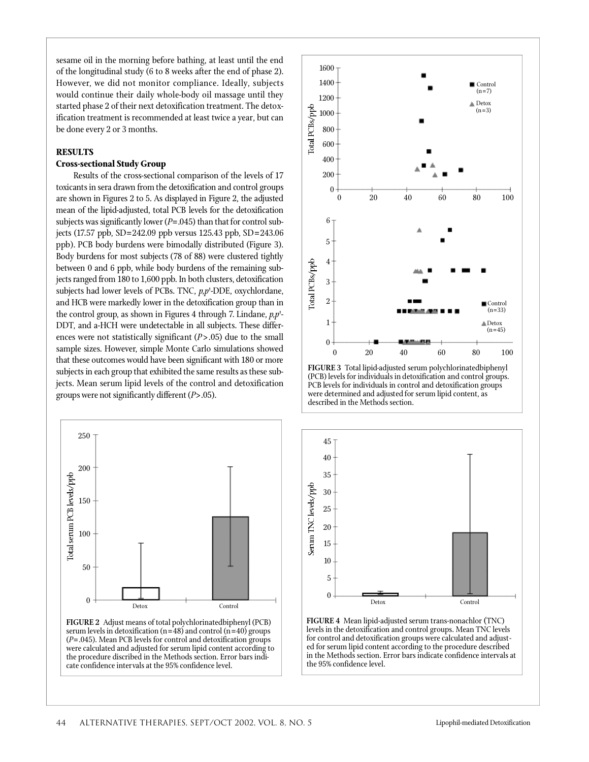sesame oil in the morning before bathing, at least until the end of the longitudinal study (6 to 8 weeks after the end of phase 2). However, we did not monitor compliance. Ideally, subjects would continue their daily whole-body oil massage until they started phase 2 of their next detoxification treatment. The detoxification treatment is recommended at least twice a year, but can be done every 2 or 3 months.

### **RESULTS**

# **Cross-sectional Study Group**

Results of the cross-sectional comparison of the levels of 17 toxicants in sera drawn from the detoxification and control groups are shown in Figures 2 to 5. As displayed in Figure 2, the adjusted mean of the lipid-adjusted, total PCB levels for the detoxification subjects was significantly lower (*P*=.045) than that for control subjects (17.57 ppb,  $SD = 242.09$  ppb versus 125.43 ppb,  $SD = 243.06$ ppb). PCB body burdens were bimodally distributed (Figure 3). Body burdens for most subjects (78 of 88) were clustered tightly between 0 and 6 ppb, while body burdens of the remaining subjects ranged from 180 to 1,600 ppb. In both clusters, detoxification subjects had lower levels of PCBs. TNC,  $p, p'$ -DDE, oxychlordane, and HCB were markedly lower in the detoxification group than in the control group, as shown in Figures 4 through 7. Lindane,  $p, p'$ -DDT, and a-HCH were undetectable in all subjects. These differences were not statistically significant (*P*>.05) due to the small sample sizes. However, simple Monte Carlo simulations showed that these outcomes would have been significant with 180 or more subjects in each group that exhibited the same results as these subjects. Mean serum lipid levels of the control and detoxification groups were not significantly different ( $P$ >.05).



**FIGURE 2** Adjust means of total polychlorinatedbiphenyl (PCB) serum levels in detoxification ( $n=48$ ) and control ( $n=40$ ) groups (*P*=.045). Mean PCB levels for control and detoxification groups were calculated and adjusted for serum lipid content according to the procedure discribed in the Methods section. Error bars indicate confidence intervals at the 95% confidence level.



**FIGURE 3** Total lipid-adjusted serum polychlorinatedbiphenyl (PCB) levels for individuals in detoxification and control groups. PCB levels for individuals in control and detoxification groups were determined and adjusted for serum lipid content, as described in the Methods section.



**FIGURE 4** Mean lipid-adjusted serum trans-nonachlor (TNC) levels in the detoxification and control groups. Mean TNC levels for control and detoxification groups were calculated and adjusted for serum lipid content according to the procedure described in the Methods section. Error bars indicate confidence intervals at the 95% confidence level.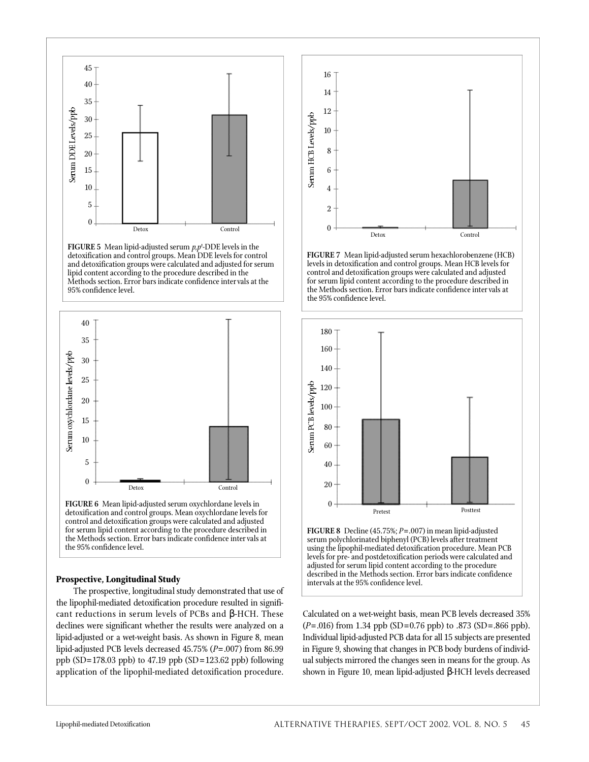



**FIGURE 6** Mean lipid-adjusted serum oxychlordane levels in detoxification and control groups. Mean oxychlordane levels for control and detoxification groups were calculated and adjusted for serum lipid content according to the procedure described in the Methods section. Error bars indicate confidence inter vals at the 95% confidence level.

#### **Prospective, Longitudinal Study**

The prospective, longitudinal study demonstrated that use of the lipophil-mediated detoxification procedure resulted in significant reductions in serum levels of PCBs and -HCH. These declines were significant whether the results were analyzed on a lipid-adjusted or a wet-weight basis. As shown in Figure 8, mean lipid-adjusted PCB levels decreased 45.75% (P=.007) from 86.99 ppb (SD=178.03 ppb) to 47.19 ppb (SD=123.62 ppb) following application of the lipophil-mediated detoxification procedure.



**FIGURE 7** Mean lipid-adjusted serum hexachlorobenzene (HCB) levels in detoxification and control groups. Mean HCB levels for control and detoxification groups were calculated and adjusted for serum lipid content according to the procedure described in the Methods section. Error bars indicate confidence inter vals at the 95% confidence level.



**FIGURE 8** Decline (45.75%; *P*=.007) in mean lipid-adjusted serum polychlorinated biphenyl (PCB) levels after treatment using the lipophil-mediated detoxification procedure. Mean PCB levels for pre- and postdetoxification periods were calculated and adjusted for serum lipid content according to the procedure described in the Methods section. Error bars indicate confidence intervals at the 95% confidence level.

Calculated on a wet-weight basis, mean PCB levels decreased 35% (*P*=.016) from 1.34 ppb (SD=0.76 ppb) to .873 (SD=.866 ppb). Individual lipid-adjusted PCB data for all 15 subjects are presented in Figure 9, showing that changes in PCB body burdens of individual subjects mirrored the changes seen in means for the group. As shown in Figure 10, mean lipid-adjusted -HCH levels decreased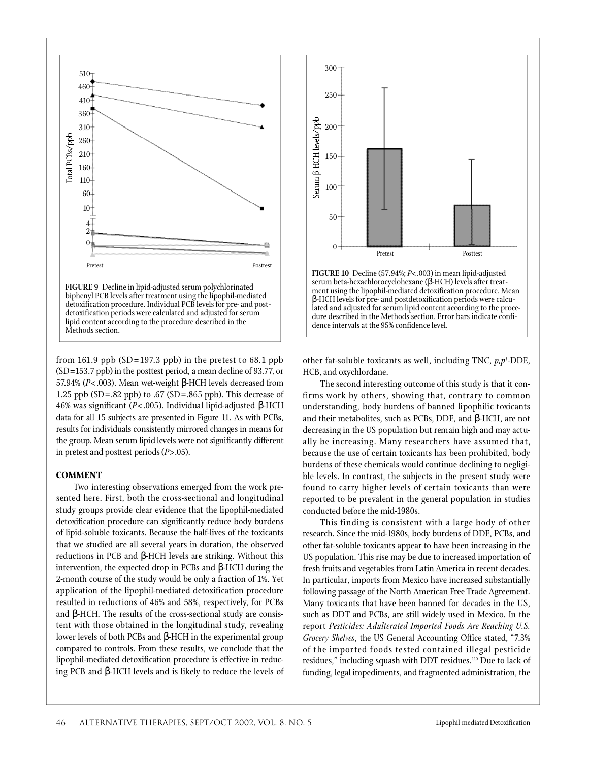

lipid content according to the procedure described in the Methods section.

from 161.9 ppb  $(SD=197.3$  ppb) in the pretest to 68.1 ppb  $(SD=153.7$  ppb) in the posttest period, a mean decline of 93.77, or 57.94% (*P*<.003). Mean wet-weight -HCH levels decreased from 1.25 ppb (SD = .82 ppb) to .67 (SD = .865 ppb). This decrease of 46% was significant (P<.005). Individual lipid-adjusted -HCH data for all 15 subjects are presented in Figure 11. As with PCBs, results for individuals consistently mirrored changes in means for the group. Mean serum lipid levels were not significantly different in pretest and posttest periods (*P*>.05).

# **COMMENT**

Two interesting observations emerged from the work presented here. First, both the cross-sectional and longitudinal study groups provide clear evidence that the lipophil-mediated detoxification procedure can significantly reduce body burdens of lipid-soluble toxicants. Because the half-lives of the toxicants that we studied are all several years in duration, the observed reductions in PCB and -HCH levels are striking. Without this intervention, the expected drop in PCBs and -HCH during the 2-month course of the study would be only a fraction of 1%. Yet application of the lipophil-mediated detoxification procedure resulted in reductions of 46% and 58%, respectively, for PCBs and -HCH. The results of the cross-sectional study are consistent with those obtained in the longitudinal study, revealing lower levels of both PCBs and -HCH in the experimental group compared to controls. From these results, we conclude that the lipophil-mediated detoxification procedure is effective in reducing PCB and -HCH levels and is likely to reduce the levels of



other fat-soluble toxicants as well, including TNC, *p,p*'-DDE, HCB, and oxychlordane.

The second interesting outcome of this study is that it confirms work by others, showing that, contrary to common understanding, body burdens of banned lipophilic toxicants and their metabolites, such as PCBs, DDE, and -HCH, are not decreasing in the US population but remain high and may actually be increasing. Many researchers have assumed that, because the use of certain toxicants has been prohibited, body burdens of these chemicals would continue declining to negligible levels. In contrast, the subjects in the present study were found to carry higher levels of certain toxicants than were reported to be prevalent in the general population in studies conducted before the mid-1980s.

This finding is consistent with a large body of other research. Since the mid-1980s, body burdens of DDE, PCBs, and other fat-soluble toxicants appear to have been increasing in the US population. This rise may be due to increased importation of fresh fruits and vegetables from Latin America in recent decades. In particular, imports from Mexico have increased substantially following passage of the North American Free Trade Agreement. Many toxicants that have been banned for decades in the US, such as DDT and PCBs, are still widely used in Mexico. In the report *Pesticides: Adulterated Imported Foods Are Reaching U.S. Grocery Shelves*, the US General Accounting Office stated, "7.3% of the imported foods tested contained illegal pesticide residues," including squash with DDT residues.<sup>110</sup> Due to lack of funding, legal impediments, and fragmented administration, the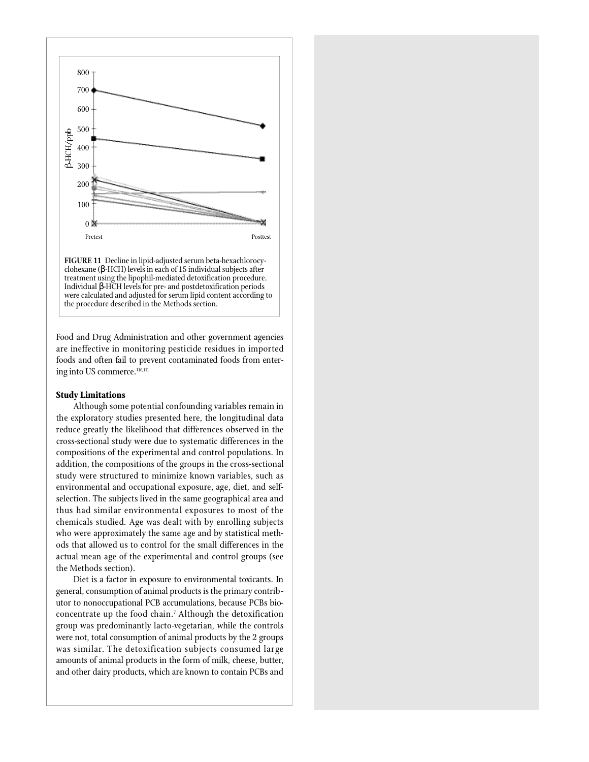

treatment using the lipophil-mediated detoxification procedure. Individual -HCH levels for pre- and postdetoxification periods were calculated and adjusted for serum lipid content according to the procedure described in the Methods section.

Food and Drug Administration and other government agencies are ineffective in monitoring pesticide residues in imported foods and often fail to prevent contaminated foods from entering into US commerce.<sup>110,111</sup>

# **Study Limitations**

Although some potential confounding variables remain in the exploratory studies presented here, the longitudinal data reduce greatly the likelihood that differences observed in the c ross-sectional study were due to systematic differences in the compositions of the experimental and control populations. In addition, the compositions of the groups in the cross-sectional study were structured to minimize known variables, such as environmental and occupational exposure, age, diet, and selfselection. The subjects lived in the same geographical area and thus had similar environmental exposures to most of the chemicals studied. Age was dealt with by enrolling subjects who were approximately the same age and by statistical methods that allowed us to control for the small differences in the actual mean age of the experimental and control groups (see the Methods section).

Diet is a factor in exposure to environmental toxicants. In general, consumption of animal products is the primary contributor to nonoccupational PCB accumulations, because PCBs bioconcentrate up the food chain.<sup>7</sup> Although the detoxification group was predominantly lacto-vegetarian, while the controls were not, total consumption of animal products by the 2 groups was similar. The detoxification subjects consumed large amounts of animal products in the form of milk, cheese, butter, and other dairy products, which are known to contain PCBs and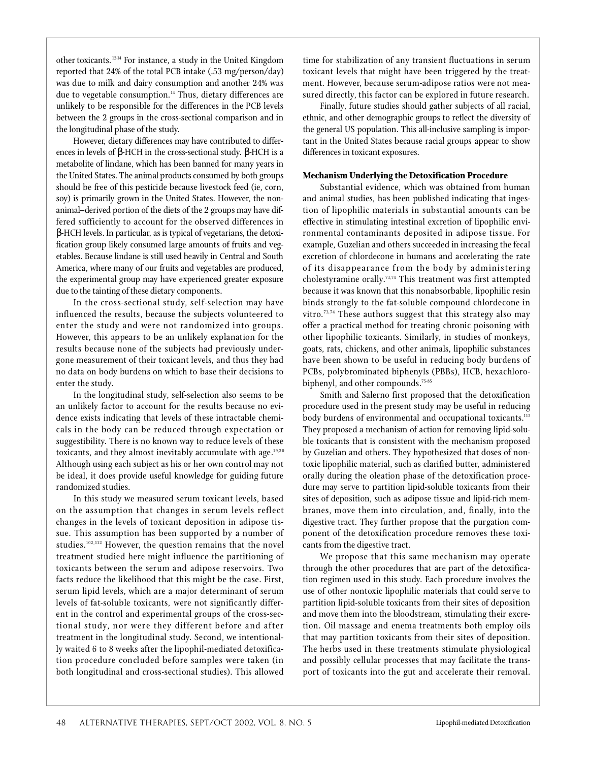other toxicants. 12-14 For instance, a study in the United Kingdom reported that 24% of the total PCB intake (.53 mg/person/day) was due to milk and dairy consumption and another 24% was due to vegetable consumption.<sup>14</sup> Thus, dietary differences are unlikely to be responsible for the differences in the PCB levels between the 2 groups in the cross-sectional comparison and in the longitudinal phase of the study.

However, dietary differences may have contributed to differences in levels of -HCH in the cross-sectional study. -HCH is a metabolite of lindane, which has been banned for many years in the United States. The animal products consumed by both groups should be free of this pesticide because livestock feed (ie, corn, soy) is primarily grown in the United States. However, the nonanimal–derived portion of the diets of the 2 groups may have differed sufficiently to account for the observed differences in

-HCH levels. In particular, as is typical of vegetarians, the detoxification group likely consumed large amounts of fruits and vegetables. Because lindane is still used heavily in Central and South America, where many of our fruits and vegetables are produced, the experimental group may have experienced greater exposure due to the tainting of these dietary components.

In the cross-sectional study, self-selection may have influenced the results, because the subjects volunteered to enter the study and were not randomized into groups. However, this appears to be an unlikely explanation for the results because none of the subjects had previously undergone measurement of their toxicant levels, and thus they had no data on body burdens on which to base their decisions to enter the study.

In the longitudinal study, self-selection also seems to be an unlikely factor to account for the results because no evidence exists indicating that levels of these intractable chemicals in the body can be reduced through expectation or suggestibility. There is no known way to reduce levels of these toxicants, and they almost inevitably accumulate with age. $19,20$ Although using each subject as his or her own control may not be ideal, it does provide useful knowledge for guiding future randomized studies.

In this study we measured serum toxicant levels, based on the assumption that changes in serum levels reflect changes in the levels of toxicant deposition in adipose tissue. This assumption has been supported by a number of studies.<sup>102,112</sup> However, the question remains that the novel treatment studied here might influence the partitioning of toxicants between the serum and adipose reservoirs. Two facts reduce the likelihood that this might be the case. First, serum lipid levels, which are a major determinant of serum levels of fat-soluble toxicants, were not significantly different in the control and experimental groups of the cross-sectional study, nor were they different before and after treatment in the longitudinal study. Second, we intentionally waited 6 to 8 weeks after the lipophil-mediated detoxification procedure concluded before samples were taken (in both longitudinal and cross-sectional studies). This allowed

time for stabilization of any transient fluctuations in serum toxicant levels that might have been triggered by the treatment. However, because serum-adipose ratios were not measured directly, this factor can be explored in future research.

Finally, future studies should gather subjects of all racial, ethnic, and other demographic groups to reflect the diversity of the general US population. This all-inclusive sampling is important in the United States because racial groups appear to show differences in toxicant exposures.

#### **Mechanism Underlying the Detoxification Procedure**

Substantial evidence, which was obtained from human and animal studies, has been published indicating that ingestion of lipophilic materials in substantial amounts can be effective in stimulating intestinal excretion of lipophilic environmental contaminants deposited in adipose tissue. For example, Guzelian and others succeeded in increasing the fecal excretion of chlordecone in humans and accelerating the rate of its disappearance from the body by administering cholestyramine orally.<sup>73,74</sup> This treatment was first attempted because it was known that this nonabsorbable, lipophilic resin binds strongly to the fat-soluble compound chlordecone in vitro. $73, 74$  These authors suggest that this strategy also may offer a practical method for treating chronic poisoning with other lipophilic toxicants. Similarly, in studies of monkeys, goats, rats, chickens, and other animals, lipophilic substances have been shown to be useful in reducing body burdens of PCBs, polybrominated biphenyls (PBBs), HCB, hexachlorobiphenyl, and other compounds.<sup>75-85</sup>

Smith and Salerno first proposed that the detoxification procedure used in the present study may be useful in reducing body burdens of environmental and occupational toxicants.<sup>113</sup> They proposed a mechanism of action for removing lipid-soluble toxicants that is consistent with the mechanism proposed by Guzelian and others. They hypothesized that doses of nontoxic lipophilic material, such as clarified butter, administered orally during the oleation phase of the detoxification procedure may serve to partition lipid-soluble toxicants from their sites of deposition, such as adipose tissue and lipid-rich membranes, move them into circulation, and, finally, into the digestive tract. They further propose that the purgation component of the detoxification procedure removes these toxicants from the digestive tract.

We propose that this same mechanism may operate through the other procedures that are part of the detoxification regimen used in this study. Each procedure involves the use of other nontoxic lipophilic materials that could serve to partition lipid-soluble toxicants from their sites of deposition and move them into the bloodstream, stimulating their excretion. Oil massage and enema treatments both employ oils that may partition toxicants from their sites of deposition. The herbs used in these treatments stimulate physiological and possibly cellular processes that may facilitate the transport of toxicants into the gut and accelerate their removal.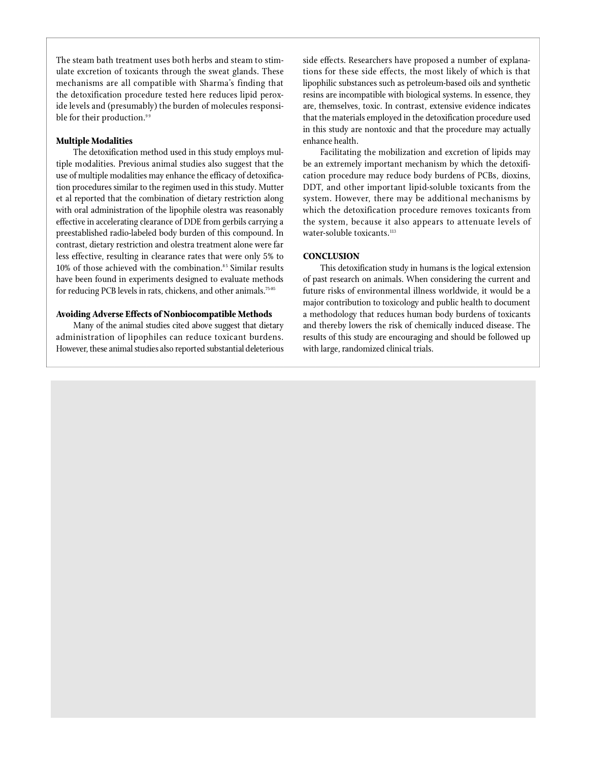The steam bath treatment uses both herbs and steam to stimulate excretion of toxicants through the sweat glands. These mechanisms are all compatible with Sharma's finding that the detoxification procedure tested here reduces lipid peroxide levels and (presumably) the burden of molecules responsible for their production.<sup>99</sup>

#### **Multiple Modalities**

The detoxification method used in this study employs multiple modalities. Previous animal studies also suggest that the use of multiple modalities may enhance the efficacy of detoxification procedures similar to the regimen used in this study. Mutter et al reported that the combination of dietary restriction along with oral administration of the lipophile olestra was reasonably effective in accelerating clearance of DDE from gerbils carrying a preestablished radio-labeled body burden of this compound. In contrast, dietary restriction and olestra treatment alone were far less effective, resulting in clearance rates that were only 5% to  $10\%$  of those achieved with the combination.<sup>85</sup> Similar results have been found in experiments designed to evaluate methods for reducing PCB levels in rats, chickens, and other animals.<sup>75-85</sup>

#### **Avoiding Adverse Effects of Nonbiocompatible Methods**

Many of the animal studies cited above suggest that dietary administration of lipophiles can reduce toxicant burdens. However, these animal studies also reported substantial deleterious side effects. Researchers have proposed a number of explanations for these side effects, the most likely of which is that lipophilic substances such as petroleum-based oils and synthetic resins are incompatible with biological systems. In essence, they are, themselves, toxic. In contrast, extensive evidence indicates that the materials employed in the detoxification procedure used in this study are nontoxic and that the procedure may actually enhance health.

Facilitating the mobilization and excretion of lipids may be an extremely important mechanism by which the detoxification procedure may reduce body burdens of PCBs, dioxins, DDT, and other important lipid-soluble toxicants from the system. However, there may be additional mechanisms by which the detoxification procedure removes toxicants from the system, because it also appears to attenuate levels of water-soluble toxicants.<sup>113</sup>

# **CONCLUSION**

This detoxification study in humans is the logical extension of past research on animals. When considering the current and future risks of environmental illness worldwide, it would be a major contribution to toxicology and public health to document a methodology that reduces human body burdens of toxicants and thereby lowers the risk of chemically induced disease. The results of this study are encouraging and should be followed up with large, randomized clinical trials.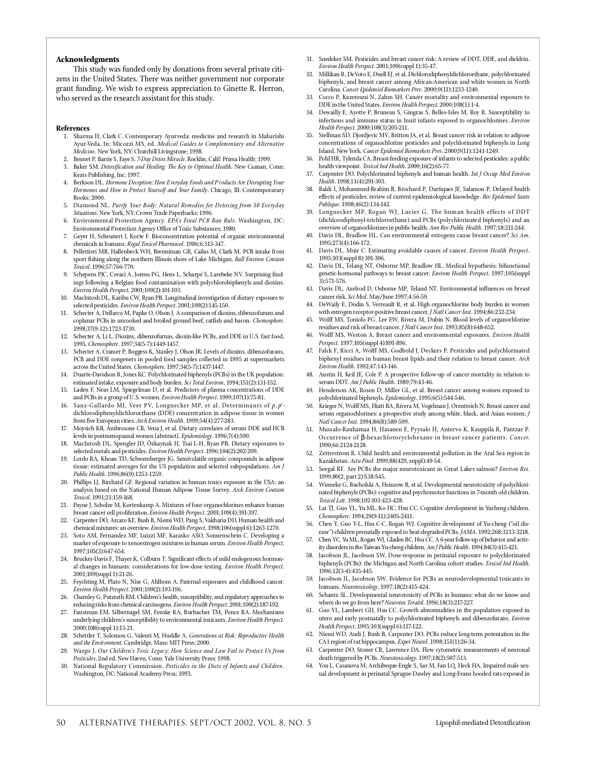#### **Acknowledgments**

This study was funded only by donations from several private citizens in the United States. There was neither government nor corporate grant funding. We wish to express appreciation to Ginette R. Herron, who served as the research assistant for this study.

#### **References**

- 1. Sharma H, Clark C. Contemporary Ayurveda: medicine and research in Maharishi Ayur-Veda. In: Micozzi MS, ed. *Medical Guides to Complementary and Alternative Medicine*. New York, NY: Churchill Livingstone; 1998.
- 2. Bennet P, Barrie S, Faye S. 7-Day Detox Miracle. Rocklin, Calif: Prima Health; 1999.
- Baker SM. *Detoxification and Healing: The Key to Optimal Health*. New Caanan, Conn: Keats Publishing, Inc; 1997.
- 4. Berkson DL. *Hormone Deception: How E veryday Foods and P roducts Are Disrupting Your* Hormones and How to Protect Yourself and Your Family. Chicago, Ill: Contemporarary Books; 2000.
- 5. Diamond NL. Purify Your Body: Natural Remedies for Detoxing from 50 Everyday Situations. New York, NY: Crown Trade Paperbacks; 1996.
- 6. Environmental Protection Agency. *EPA's Final PCB Ban Rule*. Washington, DC: Environmental Protection Agency Office of Toxic Substances; 1980.
- 7. Geyer H, Scheunert I, Korte F. Bioconcentration potential of organic environmental chemicals in humans. *Regul Toxicol Pharmacol*. 1986;6:313-347.
- 8. Pellettieri MB, Hallenbeck WH, Brenniman GR, Cailas M, Clark M. PCB intake from sport fishing along the northern Illinois shore of Lake Michigan. *Bull Environ Contam Tox i c o l*. 19 9 6 ; 5 7 : 7 6 6 -7 7 0.
- 9. Schepens PJC, Covaci A, Jorens PG, Hens L, Scharpé S, Larebeke NV. Surprising findings following a Belgian food contamination with polychlorobiphenyls and dioxins. *Environ Health Perspect.* 2001;109(2):101-103.
- 10. MacIntosh DL, Karibu CW, Ryan PB. Longitudinal investigation of dietary exposure to selected pesticides. *Environ Health Perspect*. 2001;109(2):145-150.
- 11 . Schecter A, Dellarco M, Papke O, Olson J. A comparison of dioxins, dibenzofurans and coplanar PCBs in uncooked and broiled ground beef, catfish and bacon. *Chemosphere*. 1998:37(9-12):1723-1730.
- 12. Schecter A, Li L. Dioxins, dibenzofurnas, dioxin-like PCBs, and DDE in U.S. fast food, 1995. *Chemosphere*. 1997;34(5-7):1449-1457.
- 13. Schecter A, Cramer P, Boggess K, Stanley J, Olson JR. Levels of dioxins, dibenzofurans, PCB and DDE congeners in pooled food samples collected in 1995 at supermarkets across the United States. *Chemosphere*. 1997;34(5-7):1437-1447.
- 14. Duarte-Davidson R, Jones KC. Polychlorinated biphenyls (PCBs) in the UK population: estimated intake, exposure and body burden. *Sci Total Environ*. 1994;151(2):131-152.
- 15. Laden F, Neas LM, Spiegelman D, et al. Predictors of plasma concentrations of DDE and PCBs in a group of U.S. women. *Environ Health Perspect*. 1999;107(1):75-81.
- 16. Sanz-Gallardo MI, Veer PV, Longnecker MP, et al. Determinants of p, p<sup>1</sup>dichlorodiphenyldichloroethane (DDE) concentration in adipose tissue in women from five European cities. *Arch Environ Health*. 1999;54(4):277-283.
- 17. Moysich KB, Ambrosone CB, Vena J, et al. Dietary correlates of serum DDE and HCB levels in postmenopausal women [abstract]. *Epidemiology*. 1996;7(4):S90.
- 18. MacIntosh DL, Spengler JD, Özkaynak H, Tsai L-H, Ryan PB. Dietary exposures to selected metals and pesticides. *Environ Health Perspect*. 1996;104(2):202-209.
- 19. Lordo RA, Khoan TD, Schwemberger JG. Semivolatile organic compounds in adipose tissue: estimated averages for the US population and selected subpopulations. Am J Public Health. 1996;86(9):1253-1259.
- Phillips LJ, Birchard GF. Regional variation in human toxics exposure in the USA: an analysis based on the National Human Adipose Tissue Survey. Arch Environ Contam *Tox i c o l*. 19 91 ; 21 : 15 9 -16 8.
- 21. Payne J, Scholze M, Kortenkamp A. Mixtures of four organochlorines enhance human breast cancer cell proliferation. *Environ Health Perspect*. 2001;109(4):391-397.
- 22. Carpenter DO, Arcaro KF, Bush B, Niemi WD, Pang S, Vakharia DD. Human health and chemical mixtures: an overview. *Environ Health Perspect*. 1998;106(suppl 6):1263-1270.
- 23. Soto AM, Fernandez MF, Luizzi MF, Karasko ASO, Sonnenschein C. Developing a marker of exposure to xenoestrogen mixtures in human serum. *Environ Health Perspect*. 1997;105(3):647-654.
- 24. Brucker-Davis F, Thayer K, Colburn T. Significant effects of mild endogenous hormonal changes in humans: considerations for low-dose testing. *Environ Health Perspect*. 2001;109(suppl 1):21-26.
- 25. Feychting M, Plato N, Nise G, Ahlbom A. Paternal exposures and childhood cancer. *E n v i ron Health Pe r s p e c t*. 2001 ; 10 9 ( 2 ) : 19 3 -19 6.
- Charnley G, Putzrath RM. Children's health, susceptibility, and regulatory approaches to reducing risks from chemical carcinogens. *Environ Health Perspect*. 2001;109(2):187-192.
- 27. Faustman EM, Silbernagel SM, Fenske RA, Burbacher TM, Ponce RA. Mechanisms underlying children's susceptibility to environmental toxicants. *Environ Health Perspect*. 2000:108(suppl 1):13-21.
- 28. Schettler T, Solomon G, Valenti M, Huddle A. *Generations at Risk: Reproductive Health* and the Environment. Cambridge, Mass: MIT Press; 2000.
- 29. Wargo J. Our Children's Toxic Legacy: How Science and Law Fail to Protect Us from Pesticides. 2nd ed. New Haven, Conn: Yale University Press; 1998.
- 30. National Regulatory Commission. *Pesticides in the Diets of Infants and Children*. Washington, DC: National Academy Press; 1993.
- 31. Snedeker SM. Pesticides and breast cancer risk: A review of DDT, DDE, and dieldrin. *Environ Health Perspect.* 2001;109(suppl 1):35-47.
- 32. Millikan R, DeVoto E, Duell EJ, et al. Dichlorodiphenyldichloroethane, polychlorinated biphenyls, and breast cancer among African-American and white women in North Carolina. *Cancer Epidemiol Biomarkers Prev.* 2000;9(11):1233-1240.
- 33. Cocco P, Kazerouni N, Zahm SH. Cancer mortality and environmental exposure to DDE in the United States. *Environ Health Perspect.* 2000;108(1):1-4.
- 34. Dewailly E, Ayotte P, Bruneau S, Gingras S, Belles-Isles M, Roy R. Susceptibility to infections and immune status in Inuit infants exposed to organochlorines. *Environ* Health Perspect. 2000;108(3):205-211.
- 35. Stellman SD, Djordjevic MV, Britton JA, et al. Breast cancer risk in relation to adipose concentrations of organochlorine pesticides and polychlorinated biphenyls in Long Island, New York. *Cancer Epidemiol Biomarkers Prev*. 2000;9(11):1241-1249.
- 36. Pohl HR, Tylenda CA. Breast-feeding exposure of infants to selected pesticides: a public health viewpoint. *Toxicol Ind Health*. 2000;16(2):65-77.
- 37. Carpenter DO. Polychlorinated biphenyls and human health. *Int J Occup Med Environ* Health. 1998;11(4):291-303.
- 38. Baldi I, Mohammed-Brahim B, Brochard P, Dartiques JF, Salamon P. Delayed health effects of pesticides: review of current epidemiological knowledge. Rev Epidemiol Sante Publique. 1998;46(2):134-142.
- 39. Longnecker MP, Rogan WJ, Lucier G. The human health effects of DDT (dichlorodiphenyl-trichloroethane) and PCBs (polychlorinated biphenyls) and an overview of organochlorines in public health. *Ann Rev Public Health*. 1997;18:211-244.
- 40. Davis DL, Bradlow HL. Can environmental estrogens cause breast cancer? Sci Am. 1995;273(4):166-172.
- 41. Davis DL, Muir C. Estimating avoidable causes of cancer. *Environ Health Perspect*. 1995;103(suppl 8):301-306.
- 42. Davis DL, Telang NT, Osborne MP, Bradlow HL. Medical hypothesis: bifunctional genetic-hormonal pathways to breast cancer. *Environ Health Perspect*. 1997;105(suppl 3 ) : 5 71- 5 7 6.
- 43. Davis DL, Axelrod D, Osborne MP, Teland NT. Environmental influences on breast cancer risk. *Sci Med*. May/June 1997;4:56-59.
- De Waily E, Dodin S, Verreault R, et al. High organochlorine body burden in women with estrogen receptor-positive breast cancer. *J Natl Cancer Inst.* 1994;86:232-234.
- Wolff MS, Toniolo PG, Lee EW, Rivera M, Dubin N. Blood levels of organochlorine residues and risk of breast cancer. *J Natl Cancer Inst*. 1993;85(8):648-652.
- 46. Wolff MS, Weston A. Breast cancer and environmental exposures. *Environ Health* Perspect. 1997;105(suppl 4):891-896.
- 47. Falck F, Ricci A, Wolff MS, Godbold J, Deckers P. Pesticides and polychlorinated biphenyl residues in human breast lipids and their relation to breast cancer. *Arch Environ Health.* 1992:47:143-146.
- 48. Austin H, Keil JE, Cole P. A prospective follow-up of cancer mortality in relation to serum DDT. Am J Public Health. 1989;79:43-46.
- Henderson AK, Rosen D, Miller GL, et al. Breast cancer among women exposed to polychlorinated biphenyls. *Epidemiology*. 1995;6(5):544-546.
- Krieger N, Wolff MS, Hiatt RA, Rivera M, Vogelman J, Orentreich N. Breast cancer and serum organochlorines: a prospective study among white, black, and Asian women. *J Natl Cancer In s t*. 19 9 4 ; 8 6 ( 8 ) : 5 8 9 - 5 9 9.
- 51. Mussalo-Rauhamaa H, Hasanen E, Pyysalo H, Antervo K, Kauppila R, Pantzar P. Occurrence of -hexachlorocyclohexane in breast cancer patients. *Cancer.* 1990:66:2124-2128.
- 52. Zetterstrom R. Child health and environmental pollution in the Aral Sea region in Kazakhstan. Acta Paed. 1999;88(429, suppl):49-54.
- 53. Seegal RF. Are PCBs the major neurotoxicant in Great Lakes salmon? *Environ Res*. 1999;80(2, part 2):S38-S45.
- Winneke G, Bucholski A, Heinzow B, et al. Developmental neurotoxicity of polychlorinated biphenyls (PCBs): cognitive and psychomotor functions in 7-month old children. Toxicol Lett. 1998;102-103:423-428.
- 55. Lai TJ, Guo YL, Yu ML, Ko HC, Hsu CC. Cognitive development in Yucheng children. *Chemosphere.* 1994;29(9-11):2405-2411.
- 5 6. Chen Y, Guo Y-L, Hsu C-C, Rogan WJ. Cognitive development of Yu -cheng ("oil disease") children prenatally exposed to heat-degraded PCBs. *JAMA*. 1992;268:3213-3218.
- 5 7. Chen YC, Yu ML, Rogan WJ, Gladen BC, Hsu CC. A 6-year follow-up of behavior and activity disorders in the Taiwan Yu-cheng children. *Am J Public Health*. 1994;84(3):415-421.
- Jacobson JL, Jacobson SW. Dose-response in perinatal exposure to polychlorinated biphenyls (PCBs): the Michigan and North Carolina cohort studies. *Toxicol Ind Health*. 1996;12(3-4):435-445.
- 59. Jacobson JL, Jacobson SW. Evidence for PCBs as neurodevelopmental toxicants in humans. *Neurotoxicology*. 1997;18(2):415-424.
- Schantz SL. Developmental neurotoxicity of PCBs in humans: what do we know and where do we go from here? *Neurotox Teratol*. 1996;18(3):217-227.
- 61 . Guo YL, Lambert GH, Hsu CC. Growth abnormalities in the population exposed in utero and early postnatally to polychlorinated biphenyls and dibenzofurans. *Environ* Health Perspect. 1995;103(suppl 6):117-122.
- Niemi WD, Audi J, Bush B, Carpenter DO. PCBs reduce long-term potentation in the CA1 region of rat hippocampus. *Exper Neurol*. 1998;151(1):26-34.
- Carpenter DO, Stoner CR, Lawrence DA. Flow cytometric measurements of neuronal death triggered by PCBs. *Neurotoxicology*. 1997;18(2):507-513.
- You L, Casanova M, Archibeque-Engle S, Sar M, Fan LQ, Heck HA. Impaired male sexual development in perinatal Sprague-Dawley and Long-Evans hooded rats exposed in